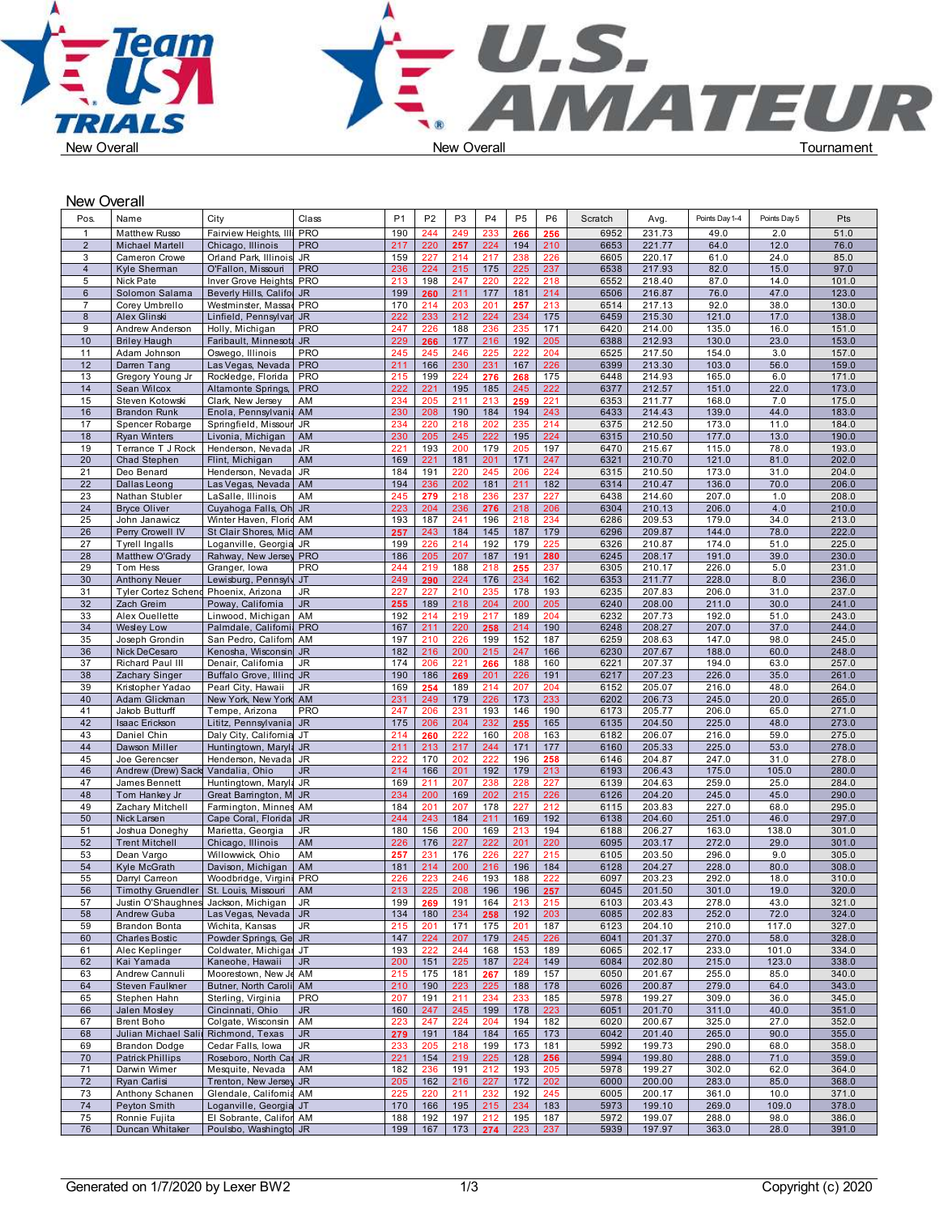

New Overall



| Pos.           | Name                                      | City                      | Class      | P <sub>1</sub> | P <sub>2</sub> | P <sub>3</sub>  | P <sub>4</sub> | P <sub>5</sub> | P <sub>6</sub> | Scratch | Avg.   | Points Day 1-4 | Points Day 5 | Pts   |
|----------------|-------------------------------------------|---------------------------|------------|----------------|----------------|-----------------|----------------|----------------|----------------|---------|--------|----------------|--------------|-------|
| $\overline{1}$ | Matthew Russo                             | Fairview Heights, III     | <b>PRO</b> | 190            | 244            | 249             | 233            | 266            | 256            | 6952    | 231.73 | 49.0           | 2.0          | 51.0  |
| $\overline{2}$ | <b>Michael Martell</b>                    | Chicago, Illinois         | <b>PRO</b> | 217            | 220            | 257             | 224            | 194            | 210            | 6653    | 221.77 | 64.0           | 12.0         | 76.0  |
| 3              | Cameron Crowe                             | Orland Park, Illinois JR  |            | 159            | 227            | 214             | 217            | 238            | 226            | 6605    | 220.17 | 61.0           | 24.0         | 85.0  |
| $\overline{4}$ | Kyle Sherman                              | O'Fallon, Missouri        | <b>PRO</b> | 236            | 224            | 215             | 175            | 225            | 237            | 6538    | 217.93 | 82.0           | 15.0         | 97.0  |
| 5              | Nick Pate                                 | Inver Grove Heights       | <b>PRO</b> | 213            | 198            | 247             | 220            | 222            | 218            | 6552    | 218.40 | 87.0           | 14.0         | 101.0 |
| 6              | Solomon Salama                            | Beverly Hills, Califor JR |            | 199            | 260            | 211             | 177            | 181            | 214            | 6506    | 216.87 | 76.0           | 47.0         | 123.0 |
| 7              | Corey Umbrello                            | Westminster, Massad PRO   |            | 170            | 214            | 203             | 201            | 257            | 213            | 6514    | 217.13 | 92.0           | 38.0         | 130.0 |
| 8              | Alex Glinski                              | Linfield, Pennsylvar JR   |            | 222            | 233            | 212             | 224            | 234            | 175            | 6459    | 215.30 | 121.0          | 17.0         | 138.0 |
| 9              | Andrew Anderson                           | Holly, Michigan           | <b>PRO</b> | 247            | 226            | 188             | 236            | 235            | 171            | 6420    | 214.00 | 135.0          | 16.0         | 151.0 |
| 10             | <b>Briley Haugh</b>                       | Faribault, Minnesota JR   |            | 229            | 266            | 177             | 216            | 192            | 205            | 6388    | 212.93 | 130.0          | 23.0         | 153.0 |
| 11             | Adam Johnson                              | Oswego, Illinois          | <b>PRO</b> | 245            | 245            | 246             | 225            | 222            | 204            | 6525    | 217.50 | 154.0          | 3.0          | 157.0 |
| 12             | Darren Tang                               | Las Vegas, Nevada   PRO   |            | 211            | 166            | 230             | 231            | 167            | 226            | 6399    | 213.30 | 103.0          | 56.0         | 159.0 |
| 13             | Gregory Young Jr                          | Rockledge, Florida        | <b>PRO</b> | 215            | 199            | 224             | 276            | 268            | 175            | 6448    | 214.93 | 165.0          | 6.0          | 171.0 |
| 14             | Sean Wilcox                               | Altamonte Springs,        | <b>PRO</b> | 222            | 221            | 195             | 185            | 245            | 222            | 6377    | 212.57 | 151.0          | 22.0         | 173.0 |
| 15             | Steven Kotowski                           | Clark, New Jersey         | AM         | 234            | 205            | 211             | 213            | 259            | 221            | 6353    | 211.77 | 168.0          | 7.0          | 175.0 |
| 16             | <b>Brandon Runk</b>                       | Enola, Pennsylvania AM    |            | 230            | 208            | 190             | 184            | 194            | 243            | 6433    | 214.43 | 139.0          | 44.0         | 183.0 |
| 17             | Spencer Robarge                           | Springfield, Missour JR   |            | 234            | 220            | 218             | 202            | 235            | 214            | 6375    | 212.50 | 173.0          | 11.0         | 184.0 |
| 18             | <b>Ryan Winters</b>                       | Livonia, Michigan         | AM         | 230            | 205            | 245             | 222            | 195            | 224            | 6315    | 210.50 | 177.0          | 13.0         | 190.0 |
| 19             | Terrance T J Rock                         | Henderson, Nevada         | JR         | 221            | 193            | 200             | 179            | 205            | 197            | 6470    | 215.67 | 115.0          | 78.0         | 193.0 |
| 20             | Chad Stephen                              | Flint, Michigan           | AM         | 169            | 221            | 181             | 201            | 171            | 247            | 6321    | 210.70 | 121.0          | 81.0         | 202.0 |
| 21             | Deo Benard                                | Henderson, Nevada         | JR         | 184            | 191            | 220             | 245            | 206            | 224            | 6315    | 210.50 | 173.0          | 31.0         | 204.0 |
| 22             | Dallas Leong                              | Las Vegas, Nevada AM      |            | 194            | 236            | 202             | 181            | 211            | 182            | 6314    | 210.47 | 136.0          | 70.0         | 206.0 |
| 23             | Nathan Stubler                            | LaSalle, Illinois         | AM         | 245            | 279            | 218             | 236            | 237            | 227            | 6438    | 214.60 | 207.0          | 1.0          | 208.0 |
| 24             | <b>Bryce Oliver</b>                       | Cuyahoga Falls, Oh JR     |            | 223            | 204            | 236             | 276            | 218            | 206            | 6304    | 210.13 | 206.0          | 4.0          | 210.0 |
| 25             | John Janawicz                             | Winter Haven, Florid AM   |            | 193            | 187            | 241             | 196            | 218            | 234            | 6286    | 209.53 | 179.0          | 34.0         | 213.0 |
| 26             | Perry Crowell IV                          | St Clair Shores, Mic AM   |            | 257            | 243            | 184             | 145            | 187            | 179            | 6296    | 209.87 | 144.0          | 78.0         | 222.0 |
| 27             | <b>Tyrell Ingalls</b>                     | Loganville, Georgia JR    |            | 199            | 226            | 214             | 192            | 179            | 225            | 6326    | 210.87 | 174.0          | 51.0         | 225.0 |
| 28             | Matthew O'Grady                           | Rahway, New Jersey PRO    |            | 186            | 205            | 207             | 187            | 191            | 280            | 6245    | 208.17 | 191.0          | 39.0         | 230.0 |
| 29             | Tom Hess                                  | Granger, Iowa             | <b>PRO</b> | 244            | 219            | 188             | 218            | 255            | 237            | 6305    | 210.17 | 226.0          | 5.0          | 231.0 |
| 30             | <b>Anthony Neuer</b>                      | Lewisburg, Pennsylv JT    |            | 249            | 290            | 224             | 176            | 234            | 162            | 6353    | 211.77 | 228.0          | 8.0          | 236.0 |
| 31             | Tyler Cortez Schend Phoenix, Arizona      |                           | JR         | 227            | 227            | 210             | 235            | 178            | 193            | 6235    | 207.83 | 206.0          | 31.0         | 237.0 |
| 32             | Zach Greim                                | Poway, California         | JR.        | 255            | 189            | 218             | 204            | 200            | 205            | 6240    | 208.00 | 211.0          | 30.0         | 241.0 |
| 33             | Alex Ouellette                            | Linwood, Michigan         | AM         | 192            | 214            | 219             | 217            | 189            | 204            | 6232    | 207.73 | 192.0          | 51.0         | 243.0 |
| 34             | Wesley Low                                | Palmdale, Californi PRO   |            | 167            | 211            | 220             | 258            | 214            | 190            | 6248    | 208.27 | 207.0          | 37.0         | 244.0 |
| 35             | Joseph Grondin                            | San Pedro, Californ       | AM         | 197            | 210            | 226             | 199            | 152            | 187            | 6259    | 208.63 | 147.0          | 98.0         | 245.0 |
| 36             | Nick DeCesaro                             | Kenosha, Wisconsin JR     |            | 182            | 216            | 200             | 215            | 247            | 166            | 6230    | 207.67 | 188.0          | 60.0         | 248.0 |
| 37             | Richard Paul III                          | Denair, California        | JR         | 174            | 206            | 221             | 266            | 188            | 160            | 6221    | 207.37 | 194.0          | 63.0         | 257.0 |
| 38             | Zachary Singer                            | Buffalo Grove, Illind JR  |            | 190            | 186            | 269             | 201            | 226            | 191            | 6217    | 207.23 | 226.0          | 35.0         | 261.0 |
| 39             | Kristopher Yadao                          | Pearl City, Hawaii        | JR         | 169            | 254            | 189             | 214            | 207            | 204            | 6152    | 205.07 | 216.0          | 48.0         | 264.0 |
| 40             | Adam Glickman                             | New York, New York AM     |            | 231            | 249            | 179             | 226            | 173            | 233            | 6202    | 206.73 | 245.0          | 20.0         | 265.0 |
| 41             | Jakob Butturff                            | Tempe, Arizona            | <b>PRO</b> | 247            | 206            | 231             | 193            | 146            | 190            | 6173    | 205.77 | 206.0          | 65.0         | 271.0 |
| 42             | Isaac Erickson                            | Lititz, Pennsylvania JR   |            | 175            | 206            | 204             | 232            | 255            | 165            | 6135    | 204.50 | 225.0          | 48.0         | 273.0 |
| 43             | Daniel Chin                               | Daly City, California JT  |            | 214            | 260            | 222             | 160            | 208            | 163            | 6182    | 206.07 | 216.0          | 59.0         | 275.0 |
| 44             | Dawson Miller                             | Huntingtown, Maryla JR    |            | 211            | 213            | 217             | 244            | 171            | 177            | 6160    | 205.33 | 225.0          | 53.0         | 278.0 |
| 45             | Joe Gerencser                             | Henderson, Nevada         | JR         | 222            | 170            | 202             | 222            | 196            | 258            | 6146    | 204.87 | 247.0          | 31.0         | 278.0 |
| 46             | Andrew (Drew) Sack Vandalia, Ohio         |                           | <b>JR</b>  | 214            | 166            | 201             | 192            | 179            | 213            | 6193    | 206.43 | 175.0          | 105.0        | 280.0 |
| 47             | James Bennett                             | Huntingtown, Maryla JR    |            | 169            | 211            | 207             | 238            | 228            | 227            | 6139    | 204.63 | 259.0          | 25.0         | 284.0 |
| 48             | Tom Hankey Jr                             | Great Barrington, M JR    |            | 234            | 200            | 169             | 202            | 215            | 226            | 6126    | 204.20 | 245.0          | 45.0         | 290.0 |
| 49             | Zachary Mitchell                          | Farmington, Minnes AM     |            | 184            | 201            | 207             | 178            | 227            | 212            | 6115    | 203.83 | 227.0          | 68.0         | 295.0 |
| 50             | Nick Larsen                               | Cape Coral, Florida JR    |            | 244            | 243            | 184             | 211            | 169            | 192            | 6138    | 204.60 | 251.0          | 46.0         | 297.0 |
| 51             | Joshua Doneghy                            | Marietta, Georgia         | JR         | 180            | 156            | 200             | 169            | 213            | 194            | 6188    | 206.27 | 163.0          | 138.0        | 301.0 |
| 52             | <b>Trent Mitchell</b>                     | Chicago, Illinois         | AM         | 226            | 176            | 227             | 222            | 201            | 220            | 6095    | 203.17 | 272.0          | 29.0         | 301.0 |
| 53             | Dean Vargo                                | Willowwick, Ohio          | AM         | 257            | 231            | 176             | 226            | 227            | 215            | 6105    | 203.50 | 296.0          | 9.0          | 305.0 |
| 54             | Kyle McGrath                              | Davison, Michigan         | AM         | 181            | 214            | 200             | 216            | 196            | 184            | 6128    | 204.27 | 228.0          | 80.0         | 308.0 |
| 55             | Darryl Carreon                            | Woodbridge, Virgini       | <b>PRO</b> | 226            | 223            | 246             | 193            | 188            | 222            | 6097    | 203.23 | 292.0          | 18.0         | 310.0 |
| 56             | Timothy Gruendler   St. Louis, Missouri   |                           | AM         | 213            | 225            | 208             | 196            | 196            | 257            | 6045    | 201.50 | 301.0          | 19.0         | 320.0 |
| 57             | Justin O'Shaughnes Jackson, Michigan   JR |                           |            | 199            | 269            | 191             | 164            | 213            | 215            | 6103    | 203.43 | 278.0          | 43.0         | 321.0 |
| 58             | Andrew Guba                               | Las Vegas, Nevada   JR    |            | 134            | 180            | 234             | 258            | 192            | 203            | 6085    | 202.83 | 252.0          | 72.0         | 324.0 |
| 59             | <b>Brandon Bonta</b>                      | Wichita, Kansas           | JR         | 215            | 201            | 171             | 175            | 201            | 187            | 6123    | 204.10 | 210.0          | 117.0        | 327.0 |
| 60             | <b>Charles Bostic</b>                     | Powder Springs, Ge JR     |            | 147            | 224            | 207             | 179            | 245            | 226            | 6041    | 201.37 | 270.0          | 58.0         | 328.0 |
| 61             | Alec Keplinger                            | Coldwater, Michigar JT    |            | 193            | 222            | 244             | 168            | 153            | 189            | 6065    | 202.17 | 233.0          | 101.0        | 334.0 |
| 62             | Kai Yamada                                | Kaneohe, Hawaii           | JR         | 200            | 151            | 225             | 187            | 224            | 149            | 6084    | 202.80 | 215.0          | 123.0        | 338.0 |
| 63             | Andrew Cannuli                            | Moorestown, New Je AM     |            | 215            | 175            | 181             | 267            | 189            | 157            | 6050    | 201.67 | 255.0          | 85.0         | 340.0 |
| 64             | Steven Faulkner                           | Butner, North Caroli AM   |            | 210            | 190            | 223             | 225            | 188            | 178            | 6026    | 200.87 | 279.0          | 64.0         | 343.0 |
| 65             | Stephen Hahn                              | Sterling, Virginia        | <b>PRO</b> | 207            | 191            | 211             | 234            | 233            | 185            | 5978    | 199.27 | 309.0          | 36.0         | 345.0 |
| 66             | Jalen Mosley                              | Cincinnati, Ohio          | JR.        | 160            | 247            | 245             | 199            | 178            | 223            | 6051    | 201.70 | 311.0          | 40.0         | 351.0 |
| 67             | Brent Boho                                | Colgate, Wisconsin   AM   |            | 223            | 247            | 224             | 204            | 194            | 182            | 6020    | 200.67 | 325.0          | 27.0         | 352.0 |
| 68             | Julian Michael Sal                        | Richmond, Texas           | JR         | 279            | 191            | 184             | 184            | 165            | 173            | 6042    | 201.40 | 265.0          | 90.0         | 355.0 |
| 69             | <b>Brandon Dodge</b>                      | Cedar Falls, Iowa         | JR         | 233            | 205            | 218             | 199            | 173            | 181            | 5992    | 199.73 | 290.0          | 68.0         | 358.0 |
| 70             | <b>Patrick Phillips</b>                   | Roseboro, North Car JR    |            | 221            | 154            | 219             | 225            | 128            | 256            | 5994    | 199.80 | 288.0          | 71.0         | 359.0 |
| 71             | Darwin Wimer                              | Mesquite, Nevada          | AM         | 182            | 236            | 191             | 212            | 193            | 205            | 5978    | 199.27 | 302.0          | 62.0         | 364.0 |
| 72             | Ryan Carlisi                              | Trenton, New Jersey JR    |            | 205            | 162            | 216             | 227            | 172            | 202            | 6000    | 200.00 | 283.0          | 85.0         | 368.0 |
| 73             | Anthony Schanen                           | Glendale, California AM   |            | 225            | 220            | 211             | 232            | 192            | 245            | 6005    | 200.17 | 361.0          | 10.0         | 371.0 |
| 74             | Peyton Smith                              | Loganville, Georgia JT    |            | 170            |                | 166   195   215 |                | 234            | 183            | 5973    | 199.10 | 269.0          | 109.0        | 378.0 |
|                |                                           |                           |            |                |                |                 |                |                |                |         |        |                |              |       |

Ronnie Fujita El Sobrante, CaliforniaAM 188 192 197 212 195 187 5972 199.07 288.0 98.0 386.0 76 Duncan Whitaker Poulsbo, WashingtonJR 199 167 173 274 223 237 5939 197.97 363.0 28.0 391.0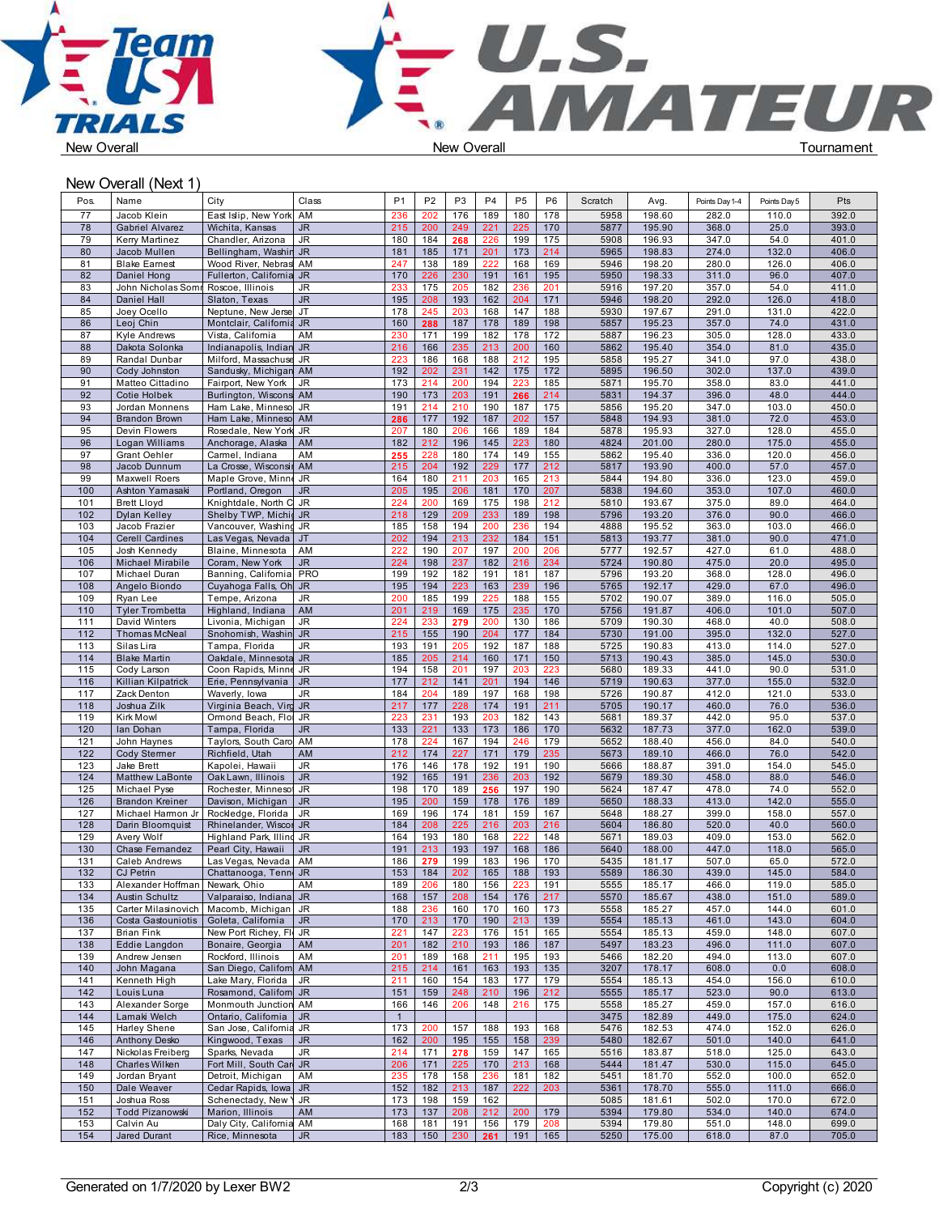



## New Overall (Next 1)

| Pos.       | Name                                               | City                                         | Class                    | P <sub>1</sub> | P <sub>2</sub> | P <sub>3</sub> | P <sub>4</sub> | P <sub>5</sub> | P <sub>6</sub> | Scratch      | Avg.             | Points Day 1-4 | Points Day 5   | Pts            |
|------------|----------------------------------------------------|----------------------------------------------|--------------------------|----------------|----------------|----------------|----------------|----------------|----------------|--------------|------------------|----------------|----------------|----------------|
| 77         | Jacob Klein                                        | East Islip, New York                         | AM                       | 236            | 202            | 176            | 189            | 180            | 178            | 5958         | 198.60           | 282.0          | 110.0          | 392.0          |
| 78         | <b>Gabriel Alvarez</b>                             | Wichita, Kansas                              | JR.                      | 215            | 200            | 249            | 221            | 225            | 170            | 5877         | 195.90           | 368.0          | 25.0           | 393.0          |
| 79         | <b>Kerry Martinez</b>                              | Chandler, Arizona                            | JR.                      | 180            | 184            | 268            | 226            | 199            | 175            | 5908         | 196.93           | 347.0          | 54.0           | 401.0          |
| 80<br>81   | Jacob Mullen<br><b>Blake Eamest</b>                | Bellingham, Washin JR<br>Wood River, Nebras  | AM                       | 181<br>247     | 185<br>138     | 171<br>189     | 201<br>222     | 173<br>168     | 214<br>169     | 5965<br>5946 | 198.83<br>198.20 | 274.0<br>280.0 | 132.0<br>126.0 | 406.0<br>406.0 |
| 82         | Daniel Hong                                        | Fullerton, California                        | JR.                      | 170            | 226            | 230            | 191            | 161            | 195            | 5950         | 198.33           | 311.0          | 96.0           | 407.0          |
| 83         | John Nicholas Somn Roscoe, Illinois                |                                              | JR                       | 233            | 175            | 205            | 182            | 236            | 201            | 5916         | 197.20           | 357.0          | 54.0           | 411.0          |
| 84         | Daniel Hall                                        | Slaton, Texas                                | <b>JR</b>                | 195            | 208            | 193            | 162            | 204            | 171            | 5946         | 198.20           | 292.0          | 126.0          | 418.0          |
| 85         | Joey Ocello                                        | Neptune, New Jerse                           | JT                       | 178            | 245            | 203            | 168            | 147            | 188            | 5930         | 197.67           | 291.0          | 131.0          | 422.0          |
| 86         | Leoj Chin                                          | Montclair, Califomia JR                      |                          | 160            | 288            | 187<br>199     | 178            | 189<br>178     | 198            | 5857         | 195.23           | 357.0          | 74.0           | 431.0<br>433.0 |
| 87<br>88   | <b>Kyle Andrews</b><br>Dakota Solonka              | Vista, California<br>Indianapolis, Indian JR | AM                       | 230<br>216     | 171<br>166     | 235            | 182<br>213     | 200            | 172<br>160     | 5887<br>5862 | 196.23<br>195.40 | 305.0<br>354.0 | 128.0<br>81.0  | 435.0          |
| 89         | Randal Dunbar                                      | Milford, Massachuse JR                       |                          | 223            | 186            | 168            | 188            | 212            | 195            | 5858         | 195.27           | 341.0          | 97.0           | 438.0          |
| 90         | Cody Johnston                                      | Sandusky, Michigan AM                        |                          | 192            | 202            | 231            | 142            | 175            | 172            | 5895         | 196.50           | 302.0          | 137.0          | 439.0          |
| 91         | Matteo Cittadino                                   | Fairport, New York                           | JR                       | 173            | 214            | 200            | 194            | 223            | 185            | 5871         | 195.70           | 358.0          | 83.0           | 441.0          |
| 92         | Cotie Holbek                                       | Burlington, Wiscons                          | AM                       | 190            | 173            | 203            | 191            | 266            | 214            | 5831         | 194.37           | 396.0          | 48.0           | 444.0          |
| 93<br>94   | Jordan Monnens<br><b>Brandon Brown</b>             | Ham Lake, Minneso JR<br>Ham Lake, Minneso AM |                          | 191<br>286     | 214<br>177     | 210<br>192     | 190<br>187     | 187<br>202     | 175<br>157     | 5856<br>5848 | 195.20<br>194.93 | 347.0<br>381.0 | 103.0<br>72.0  | 450.0<br>453.0 |
| 95         | Devin Flowers                                      | Rosedale, New York JR                        |                          | 207            | 180            | 206            | 166            | 189            | 184            | 5878         | 195.93           | 327.0          | 128.0          | 455.0          |
| 96         | Logan Williams                                     | Anchorage, Alaska                            | AM                       | 182            | 212            | 196            | 145            | 223            | 180            | 4824         | 201.00           | 280.0          | 175.0          | 455.0          |
| 97         | Grant Oehler                                       | Carmel, Indiana                              | AM                       | 255            | 228            | 180            | 174            | 149            | 155            | 5862         | 195.40           | 336.0          | 120.0          | 456.0          |
| 98         | Jacob Dunnum                                       | La Crosse, Wisconsir AM                      |                          | 215            | 204            | 192            | 229            | 177            | 212            | 5817         | 193.90           | 400.0          | 57.0           | 457.0          |
| 99<br>100  | Maxwell Roers<br>Ashton Yamasaki                   | Maple Grove, Minne JR<br>Portland, Oregon    | JR.                      | 164<br>205     | 180<br>195     | 211<br>206     | 203<br>181     | 165<br>170     | 213<br>207     | 5844<br>5838 | 194.80<br>194.60 | 336.0<br>353.0 | 123.0<br>107.0 | 459.0<br>460.0 |
| 101        | <b>Brett Lloyd</b>                                 | Knightdale, North C JR                       |                          | 224            | 200            | 169            | 175            | 198            | 212            | 5810         | 193.67           | 375.0          | 89.0           | 464.0          |
| 102        | <b>Dylan Kelley</b>                                | Shelby TWP, Michid                           | $\overline{\mathsf{J}R}$ | 218            | 129            | 209            | 233            | 189            | 198            | 5796         | 193.20           | 376.0          | 90.0           | 466.0          |
| 103        | Jacob Frazier                                      | Vancouver, Washing JR                        |                          | 185            | 158            | 194            | 200            | 236            | 194            | 4888         | 195.52           | 363.0          | 103.0          | 466.0          |
| 104        | <b>Cerell Cardines</b>                             | Las Vegas, Nevada                            | JT                       | 202            | 194            | 213            | 232            | 184            | 151            | 5813         | 193.77           | 381.0          | 90.0           | 471.0          |
| 105<br>106 | Josh Kennedy                                       | Blaine, Minnesota<br>Coram, New York         | AM                       | 222<br>224     | 190<br>198     | 207<br>237     | 197            | 200            | 206            | 5777<br>5724 | 192.57<br>190.80 | 427.0<br>475.0 | 61.0<br>20.0   | 488.0<br>495.0 |
| 107        | Michael Mirabile<br>Michael Duran                  | Banning, Califomia                           | <b>JR</b><br><b>PRO</b>  | 199            | 192            | 182            | 182<br>191     | 216<br>181     | 234<br>187     | 5796         | 193.20           | 368.0          | 128.0          | 496.0          |
| 108        | Angelo Biondo                                      | Cuyahoga Falls, Oh JR                        |                          | 195            | 194            | 223            | 163            | 239            | 196            | 5765         | 192.17           | 429.0          | 67.0           | 496.0          |
| 109        | Ryan Lee                                           | Tempe, Arizona                               | <b>JR</b>                | 200            | 185            | 199            | 225            | 188            | 155            | 5702         | 190.07           | 389.0          | 116.0          | 505.0          |
| 110        | <b>Tyler Trombetta</b>                             | Highland, Indiana                            | AM                       | 201            | 219            | 169            | 175            | 235            | 170            | 5756         | 191.87           | 406.0          | 101.0          | 507.0          |
| 111        | David Winters<br><b>Thomas McNeal</b>              | Livonia, Michigan                            | JR                       | 224            | 233            | 279            | 200            | 130            | 186            | 5709         | 190.30           | 468.0          | 40.0           | 508.0          |
| 112<br>113 | Silas Lira                                         | Snohomish, Washin<br>Tampa, Florida          | <b>JR</b><br>JR.         | 215<br>193     | 155<br>191     | 190<br>205     | 204<br>192     | 177<br>187     | 184<br>188     | 5730<br>5725 | 191.00<br>190.83 | 395.0<br>413.0 | 132.0<br>114.0 | 527.0<br>527.0 |
| 114        | <b>Blake Martin</b>                                | Oakdale, Minnesota JR                        |                          | 185            | 205            | 214            | 160            | 171            | 150            | 5713         | 190.43           | 385.0          | 145.0          | 530.0          |
| 115        | Cody Larson                                        | Coon Rapids, Minne JR                        |                          | 194            | 158            | 201            | 197            | 203            | 223            | 5680         | 189.33           | 441.0          | 90.0           | 531.0          |
| 116        | Killian Kilpatrick                                 | Erie, Pennsylvania                           | JR                       | 177            | 212            | 141            | 201            | 194            | 146            | 5719         | 190.63           | 377.0          | 155.0          | 532.0          |
| 117        | Zack Denton                                        | Waverly, Iowa                                | JR                       | 184            | 204            | 189            | 197            | 168            | 198            | 5726         | 190.87           | 412.0          | 121.0          | 533.0          |
| 118        | Joshua Zilk                                        | Virginia Beach, Virg JR                      |                          | 217            | 177            | 228            | 174            | 191            | 211            | 5705         | 190.17           | 460.0<br>442.0 | 76.0           | 536.0<br>537.0 |
| 119<br>120 | <b>Kirk Mowl</b><br>lan Dohan                      | Ormond Beach, Flo<br>Tampa, Florida          | JR<br><b>JR</b>          | 223<br>133     | 231<br>221     | 193<br>133     | 203<br>173     | 182<br>186     | 143<br>170     | 5681<br>5632 | 189.37<br>187.73 | 377.0          | 95.0<br>162.0  | 539.0          |
| 121        | John Haynes                                        | Taylors, South Carol AM                      |                          | 178            | 224            | 167            | 194            | 246            | 179            | 5652         | 188.40           | 456.0          | 84.0           | 540.0          |
| 122        | <b>Cody Stermer</b>                                | Richfield, Utah                              | AM                       | 212            | 174            | 227            | 171            | 179            | 235            | 5673         | 189.10           | 466.0          | 76.0           | 542.0          |
| 123        | Jake Brett                                         | Kapolei, Hawaii                              | JR.                      | 176            | 146            | 178            | 192            | 191            | 190            | 5666         | 188.87           | 391.0          | 154.0          | 545.0          |
| 124        | <b>Matthew LaBonte</b>                             | Oak Lawn, Illinois                           | JR.                      | 192            | 165            | 191            | 236            | 203            | 192            | 5679         | 189.30           | 458.0          | 88.0           | 546.0          |
| 125<br>126 | Michael Pyse<br><b>Brandon Kreiner</b>             | Rochester, Minnesot<br>Davison, Michigan     | JR<br>JR.                | 198<br>195     | 170<br>200     | 189<br>159     | 256<br>178     | 197<br>176     | 190<br>189     | 5624<br>5650 | 187.47<br>188.33 | 478.0<br>413.0 | 74.0<br>142.0  | 552.0<br>555.0 |
| 127        | Michael Harmon Jr                                  | Rockledge, Florida                           | JR                       | 169            | 196            | 174            | 181            | 159            | 167            | 5648         | 188.27           | 399.0          | 158.0          | 557.0          |
| 128        | Darin Bloomquist                                   | Rhinelander, Wiscor JR                       |                          | 184            | 208            | 225            | 216            | 203            | 216            | 5604         | 186.80           | 520.0          | 40.0           | 560.0          |
| 129        | Avery Wolf                                         | Highland Park, Illind JR                     |                          | 164            | 193            | 180            | 168            | 222            | 148            | 5671         | 189.03           | 409.0          | 153.0          | 562.0          |
| 130        | Chase Fernandez                                    | Pearl City, Hawaii                           | <b>JR</b>                | 191            | 213            | 193            | 197            | 168            | 186            | 5640         | 188.00           | 447.0          | 118.0          | 565.0          |
| 131        | Caleb Andrews                                      | Las Vegas, Nevada                            | AM                       | 186            | 279            | 199            | 183            | 196            | 170            | 5435         | 181.17           | 507.0          | 65.0           | 572.0          |
| 132<br>133 | <b>CJ Petrin</b><br>Alexander Hoffman Newark, Ohio | Chattanooga, Tenn JR                         | AM                       | 153<br>189     | 184<br>206     | 202<br>180     | 165<br>156     | 188<br>223     | 193<br>191     | 5589<br>5555 | 186.30<br>185.17 | 439.0<br>466.0 | 145.0<br>119.0 | 584.0<br>585.0 |
| 134        | <b>Austin Schultz</b>                              | Valparaiso, Indiana                          | JR                       | 168            | 157            | 208            | 154            | 176            | 217            | 5570         | 185.67           | 438.0          | 151.0          | 589.0          |
| 135        | Carter Milasinovich                                | Macomb, Michigan                             | ∣ JR                     | 188            | 236            | 160            | 170            | 160            | 173            | 5558         | 185.27           | 457.0          | 144.0          | 601.0          |
| 136        | Costa Gastouniotis                                 | Goleta, California                           | <b>JR</b>                | 170            | 213            | 170            | 190            | 213            | 139            | 5554         | 185.13           | 461.0          | 143.0          | 604.0          |
| 137        | <b>Brian Fink</b>                                  | New Port Richey, Flo JR                      |                          | 221            | 147            | 223            | 176            | 151            | 165            | 5554         | 185.13           | 459.0          | 148.0          | 607.0          |
| 138        | Eddie Langdon                                      | Bonaire, Georgia                             | AM                       | 201            | 182            | 210            | 193            | 186            | 187            | 5497         | 183.23           | 496.0          | 111.0          | 607.0          |
| 139<br>140 | Andrew Jensen<br>John Magana                       | Rockford, Illinois<br>San Diego, Californ AM | AM                       | 201<br>215     | 189<br>214     | 168<br>161     | 211<br>163     | 195<br>193     | 193<br>135     | 5466<br>3207 | 182.20<br>178.17 | 494.0<br>608.0 | 113.0<br>0.0   | 607.0<br>608.0 |
| 141        | Kenneth High                                       | Lake Mary, Florida                           | JR                       | 211            | 160            | 154            | 183            | 177            | 179            | 5554         | 185.13           | 454.0          | 156.0          | 610.0          |
| 142        | Louis Luna                                         | Rosamond, Californ JR                        |                          | 151            | 159            | 248            | 210            | 196            | 212            | 5555         | 185.17           | 523.0          | 90.0           | 613.0          |
| 143        | Alexander Sorge                                    | Monmouth Junction AM                         |                          | 166            | 146            | 206            | 148            | 216            | 175            | 5558         | 185.27           | 459.0          | 157.0          | 616.0          |
| 144        | Lamaki Welch                                       | Ontario, California                          | JR.                      | $\overline{1}$ |                |                |                |                |                | 3475         | 182.89           | 449.0          | 175.0          | 624.0          |
| 145        | <b>Harley Shene</b>                                | San Jose, California JR                      |                          | 173            | 200            | 157            | 188            | 193            | 168            | 5476         | 182.53           | 474.0          | 152.0          | 626.0          |
| 146<br>147 | Anthony Desko<br>Nickolas Freiberg                 | Kingwood, Texas<br>Sparks, Nevada            | <b>JR</b><br>JR          | 162<br>214     | 200<br>171     | 195<br>278     | 155<br>159     | 158<br>147     | 239<br>165     | 5480<br>5516 | 182.67<br>183.87 | 501.0<br>518.0 | 140.0<br>125.0 | 641.0<br>643.0 |
| 148        | Charles Wilken                                     | Fort Mill, South Car JR                      |                          | 206            | 171            | 225            | 170            | 213            | 168            | 5444         | 181.47           | 530.0          | 115.0          | 645.0          |
| 149        | Jordan Bryant                                      | Detroit, Michigan                            | AM                       | 235            | 178            | 158            | 236            | 181            | 182            | 5451         | 181.70           | 552.0          | 100.0          | 652.0          |
| 150        | Dale Weaver                                        | Cedar Rapids, Iowa                           | JR.                      | 152            | 182            | 213            | 187            | 222            | 203            | 5361         | 178.70           | 555.0          | 111.0          | 666.0          |
| 151        | Joshua Ross                                        | Schenectady, New \ JR                        |                          | 173            | 198            | 159            | 162            |                |                | 5085         | 181.61           | 502.0          | 170.0          | 672.0          |
| 152<br>153 | Todd Pizanowski<br>Calvin Au                       | Marion, Illinois                             | AM                       | 173<br>168     | 137<br>181     | 208<br>191     | 212<br>156     | 200<br>179     | 179<br>208     | 5394<br>5394 | 179.80<br>179.80 | 534.0<br>551.0 | 140.0<br>148.0 | 674.0<br>699.0 |
| 154        | Jared Durant                                       | Daly City, California AM<br>Rice, Minnesota  | <b>JR</b>                | 183            | 150            | 230            | 261            | 191            | 165            | 5250         | 175.00           | 618.0          | 87.0           | 705.0          |
|            |                                                    |                                              |                          |                |                |                |                |                |                |              |                  |                |                |                |